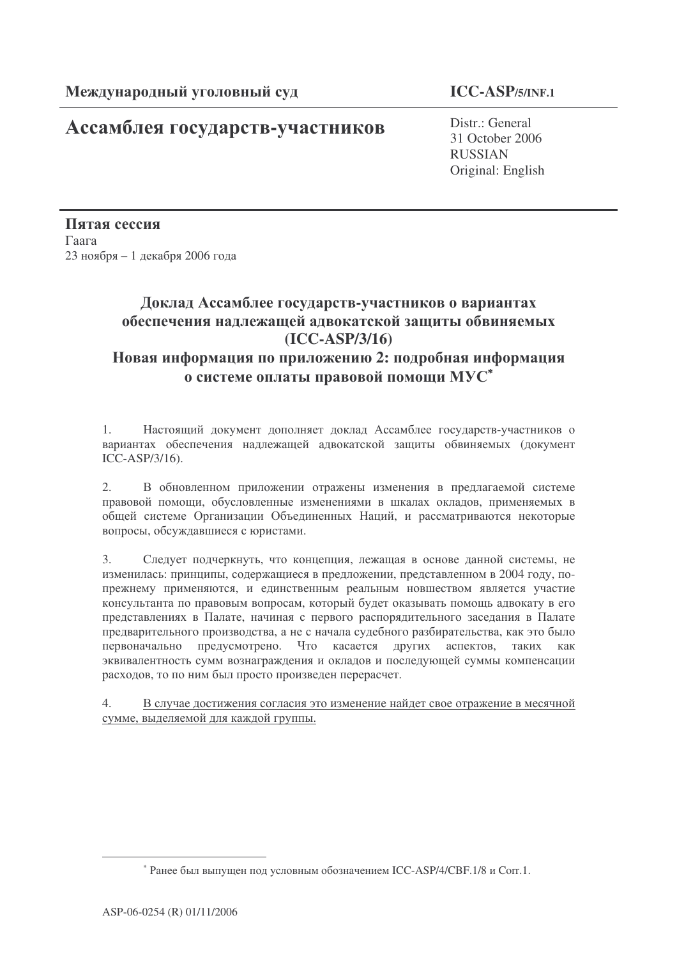# Ассамблея государств-участников

Distr.: General 31 October 2006 RUSSIAN Original: English

Пятая сессия  $\Gamma$ aara  $23$  ноября – 1 декабря 2006 года

# Доклад Ассамблее государств-участников о вариантах обеспечения надлежащей адвокатской защиты обвиняемых **(ICC-ASP/3/16)**

## Новая информация по приложению 2: подробная информация о системе оплаты правовой помощи МУ $\text{C}^\ast$

1. Настоящий документ дополняет доклад Ассамблее государств-участников о вариантах обеспечения надлежащей адвокатской защиты обвиняемых (документ ICC-ASP/3/16).

2. В обновленном приложении отражены изменения в предлагаемой системе правовой помощи, обусловленные изменениями в шкалах окладов, применяемых в общей системе Организации Объединенных Наций, и рассматриваются некоторые вопросы, обсуждавшиеся с юристами.

3. Следует подчеркнуть, что концепция, лежащая в основе данной системы, не изменилась: принципы, содержащиеся в предложении, представленном в 2004 году, попрежнему применяются, и единственным реальным новшеством является участие консультанта по правовым вопросам, который будет оказывать помощь адвокату в его представлениях в Палате, начиная с первого распорядительного заседания в Палате предварительного производства, а не с начала судебного разбирательства, как это было первонача льно предусмотрено. Что касается других аспектов, таких как эквивалентность сумм вознаграждения и окладов и последующей суммы компенсации расходов, то по ним был просто произведен перерасчет.

4. В случае достижения согласия это изменение найдет свое отражение в месячной сумме, выделяемой для каждой группы.

<sup>\*</sup> Ранее был выпущен под условным обозначением ICC-ASP/4/CBF.1/8 и Corr.1.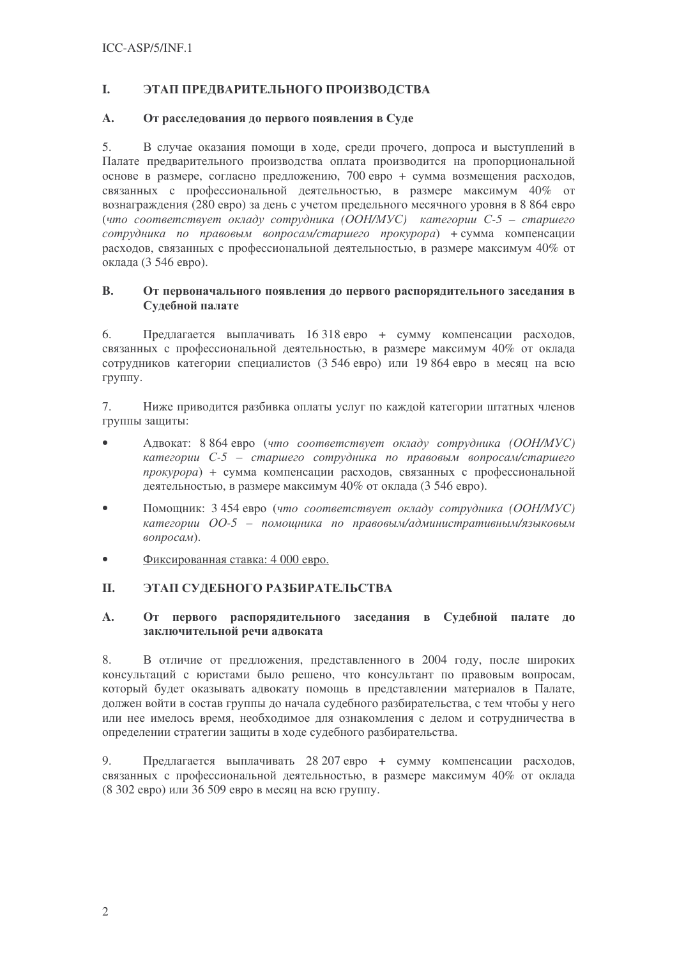#### I. ЭТАП ПРЕДВАРИТЕЛЬНОГО ПРОИЗВОДСТВА

#### $\mathbf{A}$ . От расследования до первого появления в Суде

 $5.$ В случае оказания помощи в ходе, среди прочего, допроса и выступлений в Палате предварительного производства оплата производится на пропорциональной основе в размере, согласно предложению, 700 евро + сумма возмещения расходов, связанных с профессиональной деятельностью, в размере максимум 40% от вознаграждения (280 евро) за день с учетом предельного месячного уровня в 8 864 евро (что соответствует окладу сотрудника (ООН/МУС) категории C-5 - старшего сотрудника по правовым вопросам/старшего прокурора) + сумма компенсации расходов, связанных с профессиональной деятельностью, в размере максимум 40% от оклада (3 546 евро).

### **B.** От первоначального появления до первого распорядительного заседания в Судебной палате

Предлагается выплачивать 16 318 евро + сумму компенсации расходов. 6. связанных с профессиональной деятельностью, в размере максимум 40% от оклада сотрудников категории специалистов (3 546 евро) или 19 864 евро в месяц на всю группу.

 $7.$ Ниже приводится разбивка оплаты услуг по каждой категории штатных членов группы защиты:

- $\bullet$ Адвокат: 8 864 евро (что соответствует окладу сотрудника (ООН/МУС) категории C-5 – старшего сотрудника по правовым вопросам/старшего прокурора) + сумма компенсации расходов, связанных с профессиональной деятельностью, в размере максимум 40% от оклада (3 546 евро).
- Помощник: 3 454 евро (что соответствует окладу сотрудника (ООН/МУС)  $\bullet$ категории ОО-5 - помощника по правовым/административным/языковым вопросам).
- Фиксированная ставка: 4 000 евро.  $\bullet$

#### **II.** ЭТАП СУЛЕБНОГО РАЗБИРАТЕЛЬСТВА

### $\mathbf{A}$ . От первого распорядительного заседания в Судебной палате до заключительной речи адвоката

8. В отличие от предложения, представленного в 2004 году, после широких консультаций с юристами было решено, что консультант по правовым вопросам, который будет оказывать адвокату помощь в представлении материалов в Палате, должен войти в состав группы до начала судебного разбирательства, с тем чтобы у него или нее имелось время, необходимое для ознакомления с делом и сотрудничества в определении стратегии защиты в ходе судебного разбирательства.

9. Предлагается выплачивать 28 207 евро + сумму компенсации расходов, связанных с профессиональной деятельностью, в размере максимум 40% от оклада (8 302 евро) или 36 509 евро в месяц на всю группу.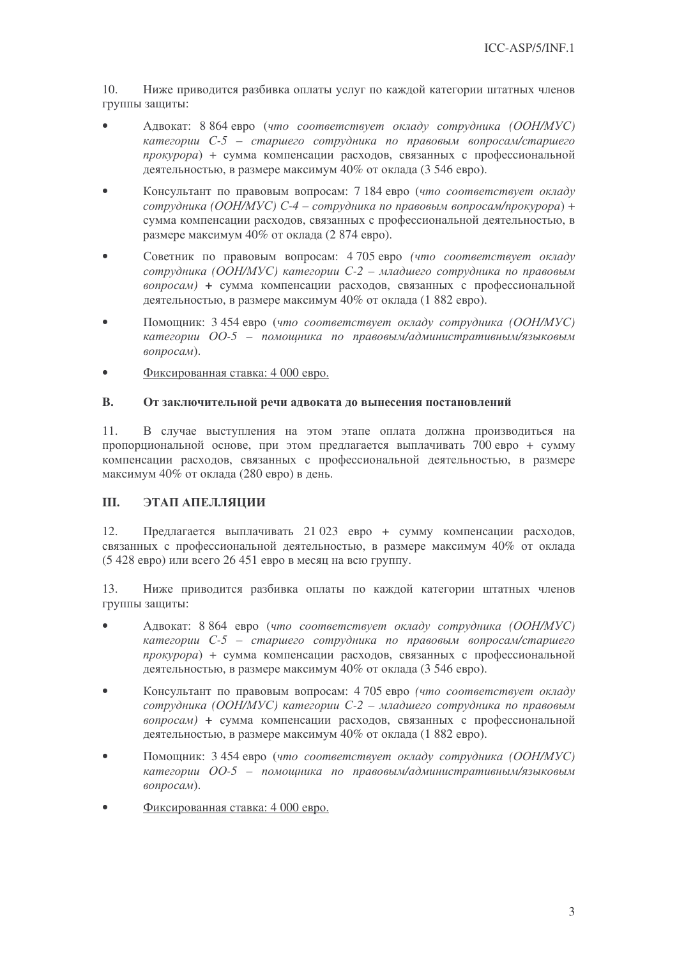10. Ниже приводится разбивка оплаты услуг по каждой категории штатных членов группы защиты:

- Адвокат: 8 864 евро (что соответствует окладу сотрудника (ООН/МУС)  $\bullet$ категории C-5 – старшего сотрудника по правовым вопросам/старшего прокурора) + сумма компенсации расходов, связанных с профессиональной деятельностью, в размере максимум 40% от оклада (3 546 евро).
- $\bullet$ Консультант по правовым вопросам: 7 184 евро (что соответствует окладу сотрудника (ООН/МУС) С-4 – сотрудника по правовым вопросам/прокурора) + сумма компенсации расходов, связанных с профессиональной деятельностью, в размере максимум 40% от оклада (2 874 евро).
- $\bullet$ Советник по правовым вопросам: 4705 евро (что соответствует окладу сотрудника (ООН/МУС) категории C-2 - младшего сотрудника по правовым вопросам) + сумма компенсации расходов, связанных с профессиональной деятельностью, в размере максимум 40% от оклада (1882 евро).
- $\bullet$ Помощник: 3 454 евро (что соответствует окладу сотрудника (ООН/МУС) категории ОО-5 - помощника по правовым/административным/языковым вопросам).
- Фиксированная ставка: 4 000 евро.  $\bullet$

#### $\mathbf{B}$ . От заключительной речи адвоката до вынесения постановлений

 $11.$ В случае выступления на этом этапе оплата должна производиться на пропорциональной основе, при этом предлагается выплачивать 700 евро + сумму компенсации расходов, связанных с профессиональной деятельностью, в размере максимум 40% от оклада (280 евро) в день.

#### Ш. ЭТАП АПЕЛЛЯЦИИ

 $12.$ Предлагается выплачивать 21 023 евро + сумму компенсации расходов, связанных с профессиональной деятельностью, в размере максимум 40% от оклада (5 428 евро) или всего 26 451 евро в месяц на всю группу.

13. Ниже приводится разбивка оплаты по каждой категории штатных членов группы защиты:

- $\bullet$ Адвокат: 8 864 евро (что соответствует окладу сотрудника (ООН/МУС) категории С-5 - старшего сотрудника по правовым вопросам/старшего прокурора) + сумма компенсации расходов, связанных с профессиональной деятельностью, в размере максимум 40% от оклада (3 546 евро).
- Консультант по правовым вопросам: 4 705 евро (что соответствует окладу  $\bullet$ сотрудника (ООН/МУС) категории С-2 - младшего сотрудника по правовым вопросам) + сумма компенсации расходов, связанных с профессиональной деятельностью, в размере максимум 40% от оклада (1 882 евро).
- $\bullet$ Помощник: 3 454 евро (что соответствует окладу сотрудника (ООН/МУС) категории ОО-5 - помошника по правовым/административным/языковым вопросам).
- Фиксированная ставка: 4 000 евро.